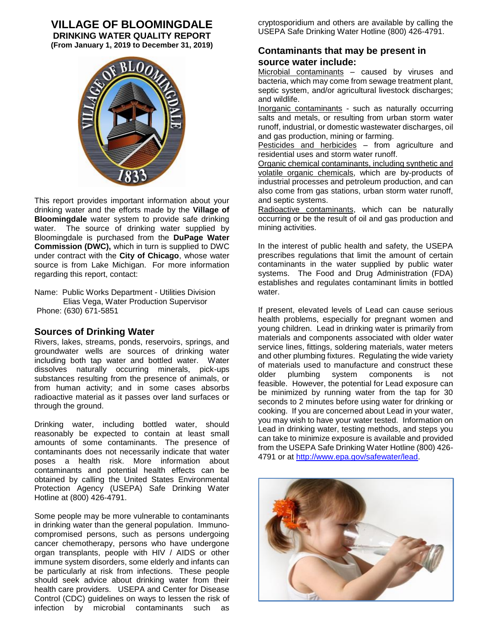# **VILLAGE OF BLOOMINGDALE**

**DRINKING WATER QUALITY REPORT (From January 1, 2019 to December 31, 2019)**



This report provides important information about your drinking water and the efforts made by the **Village of Bloomingdale** water system to provide safe drinking water. The source of drinking water supplied by Bloomingdale is purchased from the **DuPage Water Commission (DWC),** which in turn is supplied to DWC under contract with the **City of Chicago**, whose water source is from Lake Michigan. For more information regarding this report, contact:

Name: Public Works Department - Utilities Division Elias Vega, Water Production Supervisor Phone: (630) 671-5851

### **Sources of Drinking Water**

Rivers, lakes, streams, ponds, reservoirs, springs, and groundwater wells are sources of drinking water including both tap water and bottled water. Water dissolves naturally occurring minerals, pick-ups substances resulting from the presence of animals, or from human activity; and in some cases absorbs radioactive material as it passes over land surfaces or through the ground.

Drinking water, including bottled water, should reasonably be expected to contain at least small amounts of some contaminants. The presence of contaminants does not necessarily indicate that water poses a health risk. More information about contaminants and potential health effects can be obtained by calling the United States Environmental Protection Agency (USEPA) Safe Drinking Water Hotline at (800) 426-4791.

Some people may be more vulnerable to contaminants in drinking water than the general population. Immunocompromised persons, such as persons undergoing cancer chemotherapy, persons who have undergone organ transplants, people with HIV / AIDS or other immune system disorders, some elderly and infants can be particularly at risk from infections. These people should seek advice about drinking water from their health care providers. USEPA and Center for Disease Control (CDC) guidelines on ways to lessen the risk of infection by microbial contaminants such as

cryptosporidium and others are available by calling the USEPA Safe Drinking Water Hotline (800) 426-4791.

### **Contaminants that may be present in source water include:**

Microbial contaminants - caused by viruses and bacteria, which may come from sewage treatment plant, septic system, and/or agricultural livestock discharges; and wildlife.

Inorganic contaminants - such as naturally occurring salts and metals, or resulting from urban storm water runoff, industrial, or domestic wastewater discharges, oil and gas production, mining or farming.

Pesticides and herbicides – from agriculture and residential uses and storm water runoff.

Organic chemical contaminants, including synthetic and volatile organic chemicals, which are by-products of industrial processes and petroleum production, and can also come from gas stations, urban storm water runoff, and septic systems.

Radioactive contaminants, which can be naturally occurring or be the result of oil and gas production and mining activities.

In the interest of public health and safety, the USEPA prescribes regulations that limit the amount of certain contaminants in the water supplied by public water systems. The Food and Drug Administration (FDA) establishes and regulates contaminant limits in bottled water.

If present, elevated levels of Lead can cause serious health problems, especially for pregnant women and young children. Lead in drinking water is primarily from materials and components associated with older water service lines, fittings, soldering materials, water meters and other plumbing fixtures. Regulating the wide variety of materials used to manufacture and construct these older plumbing system components is not feasible. However, the potential for Lead exposure can be minimized by running water from the tap for 30 seconds to 2 minutes before using water for drinking or cooking. If you are concerned about Lead in your water, you may wish to have your water tested. Information on Lead in drinking water, testing methods, and steps you can take to minimize exposure is available and provided from the USEPA Safe Drinking Water Hotline (800) 426- 4791 or at [http://www.epa.gov/safewater/lead.](http://www.epa.gov/safewater/lead)

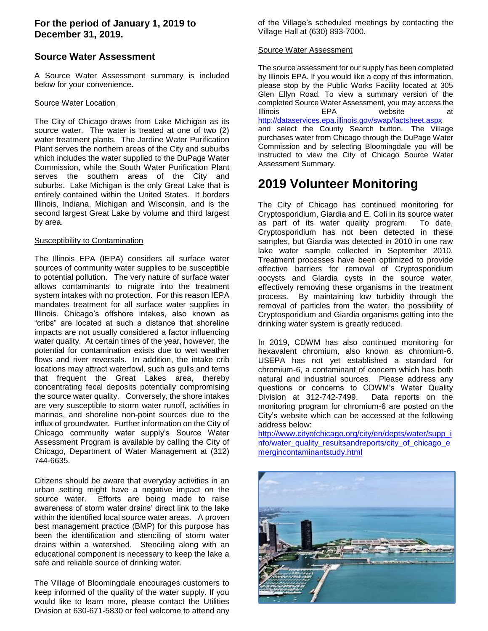## **For the period of January 1, 2019 to December 31, 2019.**

## **Source Water Assessment**

A Source Water Assessment summary is included below for your convenience.

#### Source Water Location

The City of Chicago draws from Lake Michigan as its source water. The water is treated at one of two (2) water treatment plants. The Jardine Water Purification Plant serves the northern areas of the City and suburbs which includes the water supplied to the DuPage Water Commission, while the South Water Purification Plant serves the southern areas of the City and suburbs. Lake Michigan is the only Great Lake that is entirely contained within the United States. It borders Illinois, Indiana, Michigan and Wisconsin, and is the second largest Great Lake by volume and third largest by area.

#### **Susceptibility to Contamination**

The Illinois EPA (IEPA) considers all surface water sources of community water supplies to be susceptible to potential pollution. The very nature of surface water allows contaminants to migrate into the treatment system intakes with no protection. For this reason IEPA mandates treatment for all surface water supplies in Illinois. Chicago's offshore intakes, also known as "cribs" are located at such a distance that shoreline impacts are not usually considered a factor influencing water quality. At certain times of the year, however, the potential for contamination exists due to wet weather flows and river reversals. In addition, the intake crib locations may attract waterfowl, such as gulls and terns that frequent the Great Lakes area, thereby concentrating fecal deposits potentially compromising the source water quality. Conversely, the shore intakes are very susceptible to storm water runoff, activities in marinas, and shoreline non-point sources due to the influx of groundwater. Further information on the City of Chicago community water supply's Source Water Assessment Program is available by calling the City of Chicago, Department of Water Management at (312) 744-6635.

Citizens should be aware that everyday activities in an urban setting might have a negative impact on the source water. Efforts are being made to raise awareness of storm water drains' direct link to the lake within the identified local source water areas. A proven best management practice (BMP) for this purpose has been the identification and stenciling of storm water drains within a watershed. Stenciling along with an educational component is necessary to keep the lake a safe and reliable source of drinking water.

The Village of Bloomingdale encourages customers to keep informed of the quality of the water supply. If you would like to learn more, please contact the Utilities Division at 630-671-5830 or feel welcome to attend any

of the Village's scheduled meetings by contacting the Village Hall at (630) 893-7000.

#### Source Water Assessment

The source assessment for our supply has been completed by Illinois EPA. If you would like a copy of this information, please stop by the Public Works Facility located at 305 Glen Ellyn Road. To view a summary version of the completed Source Water Assessment, you may access the Illinois **EPA** website <http://dataservices.epa.illinois.gov/swap/factsheet.aspx> and select the County Search button. The Village purchases water from Chicago through the DuPage Water Commission and by selecting Bloomingdale you will be instructed to view the City of Chicago Source Water Assessment Summary.

# **2019 Volunteer Monitoring**

The City of Chicago has continued monitoring for Cryptosporidium, Giardia and E. Coli in its source water as part of its water quality program. To date, Cryptosporidium has not been detected in these samples, but Giardia was detected in 2010 in one raw lake water sample collected in September 2010. Treatment processes have been optimized to provide effective barriers for removal of Cryptosporidium oocysts and Giardia cysts in the source water, effectively removing these organisms in the treatment process. By maintaining low turbidity through the removal of particles from the water, the possibility of Cryptosporidium and Giardia organisms getting into the drinking water system is greatly reduced.

In 2019, CDWM has also continued monitoring for hexavalent chromium, also known as chromium-6. USEPA has not yet established a standard for chromium-6, a contaminant of concern which has both natural and industrial sources. Please address any questions or concerns to CDWM's Water Quality Division at 312-742-7499. Data reports on the monitoring program for chromium-6 are posted on the City's website which can be accessed at the following address below:

[http://www.cityofchicago.org/city/en/depts/water/supp\\_i](http://www.cityofchicago.org/city/en/depts/water/supp_info/water_quality_resultsandreports/city_of_chicago_emergincontaminantstudy.html) [nfo/water\\_quality\\_resultsandreports/city\\_of\\_chicago\\_e](http://www.cityofchicago.org/city/en/depts/water/supp_info/water_quality_resultsandreports/city_of_chicago_emergincontaminantstudy.html) [mergincontaminantstudy.html](http://www.cityofchicago.org/city/en/depts/water/supp_info/water_quality_resultsandreports/city_of_chicago_emergincontaminantstudy.html)

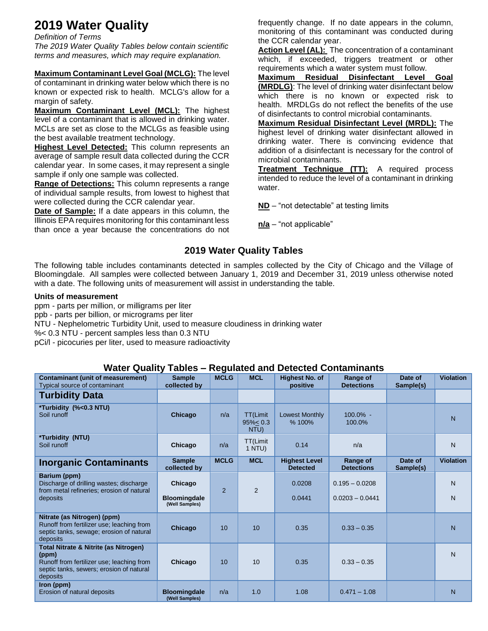# **2019 Water Quality**

*Definition of Terms The 2019 Water Quality Tables below contain scientific terms and measures, which may require explanation.*

**Maximum Contaminant Level Goal (MCLG):** The level of contaminant in drinking water below which there is no known or expected risk to health. MCLG's allow for a margin of safety.

**Maximum Contaminant Level (MCL):** The highest level of a contaminant that is allowed in drinking water. MCLs are set as close to the MCLGs as feasible using the best available treatment technology.

**Highest Level Detected:** This column represents an average of sample result data collected during the CCR calendar year. In some cases, it may represent a single sample if only one sample was collected.

**Range of Detections:** This column represents a range of individual sample results, from lowest to highest that were collected during the CCR calendar year.

**Date of Sample:** If a date appears in this column, the Illinois EPA requires monitoring for this contaminant less than once a year because the concentrations do not

frequently change. If no date appears in the column, monitoring of this contaminant was conducted during the CCR calendar year.

Action Level (AL): The concentration of a contaminant which, if exceeded, triggers treatment or other requirements which a water system must follow.

**Maximum Residual Disinfectant Level Goal (MRDLG)**: The level of drinking water disinfectant below which there is no known or expected risk to health. MRDLGs do not reflect the benefits of the use of disinfectants to control microbial contaminants.

**Maximum Residual Disinfectant Level (MRDL):** The highest level of drinking water disinfectant allowed in drinking water. There is convincing evidence that addition of a disinfectant is necessary for the control of microbial contaminants.

**Treatment Technique (TT):** A required process intended to reduce the level of a contaminant in drinking water.

**ND** – "not detectable" at testing limits

**n/a** – "not applicable"

# **2019 Water Quality Tables**

The following table includes contaminants detected in samples collected by the City of Chicago and the Village of Bloomingdale. All samples were collected between January 1, 2019 and December 31, 2019 unless otherwise noted with a date. The following units of measurement will assist in understanding the table.

### **Units of measurement**

ppm - parts per million, or milligrams per liter ppb - parts per billion, or micrograms per liter NTU - Nephelometric Turbidity Unit, used to measure cloudiness in drinking water %< 0.3 NTU - percent samples less than 0.3 NTU pCi/l - picocuries per liter, used to measure radioactivity

## **Water Quality Tables – Regulated and Detected Contaminants**

|                                                                                                                                                     |                                                  | ອ           |                                         |                                         |                                       |                      |                   |
|-----------------------------------------------------------------------------------------------------------------------------------------------------|--------------------------------------------------|-------------|-----------------------------------------|-----------------------------------------|---------------------------------------|----------------------|-------------------|
| <b>Contaminant (unit of measurement)</b><br>Typical source of contaminant                                                                           | <b>Sample</b><br>collected by                    | <b>MCLG</b> | <b>MCL</b>                              | <b>Highest No. of</b><br>positive       | Range of<br><b>Detections</b>         | Date of<br>Sample(s) | <b>Violation</b>  |
| <b>Turbidity Data</b>                                                                                                                               |                                                  |             |                                         |                                         |                                       |                      |                   |
| *Turbidity (%<0.3 NTU)<br>Soil runoff                                                                                                               | <b>Chicago</b>                                   | n/a         | <b>TT(Limit</b><br>$95\% < 0.3$<br>NTU) | <b>Lowest Monthly</b><br>% 100%         | $100.0\%$ -<br>100.0%                 |                      | $\overline{N}$    |
| *Turbidity (NTU)<br>Soil runoff                                                                                                                     | Chicago                                          | n/a         | TT(Limit<br>1 NTU)                      | 0.14                                    | n/a                                   |                      | N                 |
| <b>Inorganic Contaminants</b>                                                                                                                       | <b>Sample</b><br>collected by                    | <b>MCLG</b> | <b>MCL</b>                              | <b>Highest Level</b><br><b>Detected</b> | Range of<br><b>Detections</b>         | Date of<br>Sample(s) | <b>Violation</b>  |
| Barium (ppm)<br>Discharge of drilling wastes; discharge<br>from metal refineries; erosion of natural<br>deposits                                    | Chicago<br><b>Bloomingdale</b><br>(Well Samples) | 2           | 2                                       | 0.0208<br>0.0441                        | $0.195 - 0.0208$<br>$0.0203 - 0.0441$ |                      | $\mathsf{N}$<br>N |
| Nitrate (as Nitrogen) (ppm)<br>Runoff from fertilizer use; leaching from<br>septic tanks, sewage; erosion of natural<br>deposits                    | <b>Chicago</b>                                   | 10          | 10                                      | 0.35                                    | $0.33 - 0.35$                         |                      | $\overline{N}$    |
| Total Nitrate & Nitrite (as Nitrogen)<br>(ppm)<br>Runoff from fertilizer use; leaching from<br>septic tanks, sewers; erosion of natural<br>deposits | Chicago                                          | 10          | 10                                      | 0.35                                    | $0.33 - 0.35$                         |                      | N                 |
| Iron (ppm)<br>Erosion of natural deposits                                                                                                           | <b>Bloomingdale</b><br>(Well Samples)            | n/a         | 1.0                                     | 1.08                                    | $0.471 - 1.08$                        |                      | N                 |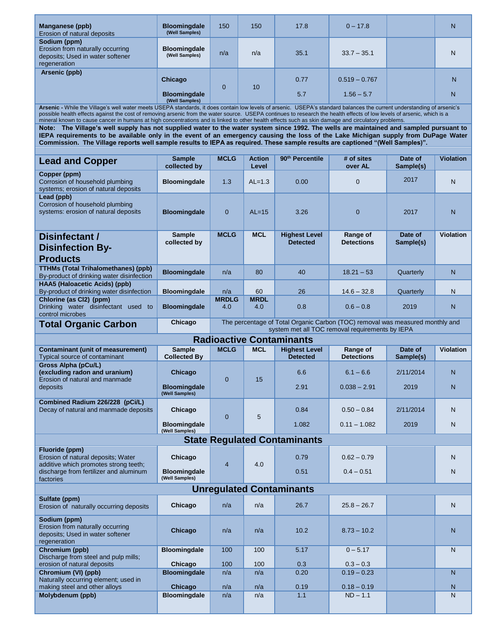| Manganese (ppb)<br>Erosion of natural deposits                                                                                                                                                                                                                                                                                                                                                                                                                                                                                                                       | <b>Bloomingdale</b><br>(Well Samples) | 150                 | 150                    | 17.8                                    | $0 - 17.8$                    |                      | N                |  |  |
|----------------------------------------------------------------------------------------------------------------------------------------------------------------------------------------------------------------------------------------------------------------------------------------------------------------------------------------------------------------------------------------------------------------------------------------------------------------------------------------------------------------------------------------------------------------------|---------------------------------------|---------------------|------------------------|-----------------------------------------|-------------------------------|----------------------|------------------|--|--|
| Sodium (ppm)<br>Erosion from naturally occurring<br>deposits; Used in water softener<br>regeneration                                                                                                                                                                                                                                                                                                                                                                                                                                                                 | Bloomingdale<br>(Well Samples)        | n/a                 | n/a                    | 35.1                                    | $33.7 - 35.1$                 |                      | N                |  |  |
| Arsenic (ppb)                                                                                                                                                                                                                                                                                                                                                                                                                                                                                                                                                        | <b>Chicago</b>                        |                     |                        | 0.77                                    | $0.519 - 0.767$               |                      | N                |  |  |
|                                                                                                                                                                                                                                                                                                                                                                                                                                                                                                                                                                      | <b>Bloomingdale</b><br>(Well Samples) | $\overline{0}$      | 10                     | 5.7                                     | $1.56 - 5.7$                  |                      | N                |  |  |
| Arsenic - While the Village's well water meets USEPA standards, it does contain low levels of arsenic. USEPA's standard balances the current understanding of arsenic's<br>possible health effects against the cost of removing arsenic from the water source. USEPA continues to research the health effects of low levels of arsenic, which is a                                                                                                                                                                                                                   |                                       |                     |                        |                                         |                               |                      |                  |  |  |
| mineral known to cause cancer in humans at high concentrations and is linked to other health effects such as skin damage and circulatory problems.<br>Note: The Village's well supply has not supplied water to the water system since 1992. The wells are maintained and sampled pursuant to<br>IEPA requirements to be available only in the event of an emergency causing the loss of the Lake Michigan supply from DuPage Water<br>Commission. The Village reports well sample results to IEPA as required. These sample results are captioned "(Well Samples)". |                                       |                     |                        |                                         |                               |                      |                  |  |  |
| <b>Lead and Copper</b>                                                                                                                                                                                                                                                                                                                                                                                                                                                                                                                                               | <b>Sample</b><br>collected by         | <b>MCLG</b>         | <b>Action</b><br>Level | 90 <sup>th</sup> Percentile             | # of sites<br>over AL         | Date of<br>Sample(s) | <b>Violation</b> |  |  |
| Copper (ppm)<br>Corrosion of household plumbing<br>systems; erosion of natural deposits                                                                                                                                                                                                                                                                                                                                                                                                                                                                              | Bloomingdale                          | 1.3                 | $AL=1.3$               | 0.00                                    | $\mathbf{0}$                  | 2017                 | N                |  |  |
| Lead (ppb)<br>Corrosion of household plumbing<br>systems: erosion of natural deposits                                                                                                                                                                                                                                                                                                                                                                                                                                                                                | <b>Bloomingdale</b>                   | $\overline{0}$      | $AL=15$                | 3.26                                    | $\mathbf{0}$                  | 2017                 | N                |  |  |
| Disinfectant /                                                                                                                                                                                                                                                                                                                                                                                                                                                                                                                                                       | <b>Sample</b><br>collected by         | <b>MCLG</b>         | <b>MCL</b>             | <b>Highest Level</b><br><b>Detected</b> | Range of<br><b>Detections</b> | Date of<br>Sample(s) | <b>Violation</b> |  |  |
| <b>Disinfection By-</b><br><b>Products</b>                                                                                                                                                                                                                                                                                                                                                                                                                                                                                                                           |                                       |                     |                        |                                         |                               |                      |                  |  |  |
| <b>TTHMs (Total Trihalomethanes) (ppb)</b><br>By-product of drinking water disinfection                                                                                                                                                                                                                                                                                                                                                                                                                                                                              | <b>Bloomingdale</b>                   | n/a                 | 80                     | 40                                      | $18.21 - 53$                  | Quarterly            | N                |  |  |
| HAA5 (Haloacetic Acids) (ppb)<br>By-product of drinking water disinfection                                                                                                                                                                                                                                                                                                                                                                                                                                                                                           | <b>Bloomingdale</b>                   | n/a                 | 60                     | 26                                      | $14.6 - 32.8$                 | Quarterly            | N                |  |  |
| Chlorine (as Cl2) (ppm)<br>Drinking water disinfectant used to<br>control microbes                                                                                                                                                                                                                                                                                                                                                                                                                                                                                   | <b>Bloomingdale</b>                   | <b>MRDLG</b><br>4.0 | <b>MRDL</b><br>4.0     | 0.8                                     | $0.6 - 0.8$                   | 2019                 | N                |  |  |
| The percentage of Total Organic Carbon (TOC) removal was measured monthly and<br>Chicago<br><b>Total Organic Carbon</b><br>system met all TOC removal requirements by IEPA                                                                                                                                                                                                                                                                                                                                                                                           |                                       |                     |                        |                                         |                               |                      |                  |  |  |
|                                                                                                                                                                                                                                                                                                                                                                                                                                                                                                                                                                      |                                       |                     |                        |                                         |                               |                      |                  |  |  |
|                                                                                                                                                                                                                                                                                                                                                                                                                                                                                                                                                                      |                                       |                     |                        | <b>Radioactive Contaminants</b>         |                               |                      |                  |  |  |
| <b>Contaminant (unit of measurement)</b><br>Typical source of contaminant                                                                                                                                                                                                                                                                                                                                                                                                                                                                                            | <b>Sample</b><br><b>Collected By</b>  | <b>MCLG</b>         | <b>MCL</b>             | <b>Highest Level</b><br><b>Detected</b> | Range of<br><b>Detections</b> | Date of<br>Sample(s) | <b>Violation</b> |  |  |
| Gross Alpha (pCu/L)<br>(excluding radon and uranium)                                                                                                                                                                                                                                                                                                                                                                                                                                                                                                                 | <b>Chicago</b>                        |                     |                        | 6.6                                     | $6.1 - 6.6$                   | 2/11/2014            | N                |  |  |
| Erosion of natural and manmade<br>deposits                                                                                                                                                                                                                                                                                                                                                                                                                                                                                                                           | <b>Bloomingdale</b><br>(Well Samples) | $\overline{0}$      | 15                     | 2.91                                    | $0.038 - 2.91$                | 2019                 | N                |  |  |
| Combined Radium 226/228 (pCi/L)<br>Decay of natural and manmade deposits                                                                                                                                                                                                                                                                                                                                                                                                                                                                                             | Chicago                               |                     |                        | 0.84                                    | $0.50 - 0.84$                 | 2/11/2014            | N                |  |  |
|                                                                                                                                                                                                                                                                                                                                                                                                                                                                                                                                                                      | <b>Bloomingdale</b><br>(Well Samples) | $\overline{0}$      | 5                      | 1.082                                   | $0.11 - 1.082$                | 2019                 | N                |  |  |
|                                                                                                                                                                                                                                                                                                                                                                                                                                                                                                                                                                      |                                       |                     |                        | <b>State Regulated Contaminants</b>     |                               |                      |                  |  |  |
| Fluoride (ppm)<br>Erosion of natural deposits; Water                                                                                                                                                                                                                                                                                                                                                                                                                                                                                                                 | Chicago                               |                     |                        | 0.79                                    | $0.62 - 0.79$                 |                      | N                |  |  |
| additive which promotes strong teeth;<br>discharge from fertilizer and aluminum<br>factories                                                                                                                                                                                                                                                                                                                                                                                                                                                                         | <b>Bloominadale</b><br>(Well Samples) | $\overline{4}$      | 4.0                    | 0.51                                    | $0.4 - 0.51$                  |                      | N                |  |  |
|                                                                                                                                                                                                                                                                                                                                                                                                                                                                                                                                                                      |                                       |                     |                        | <b>Unregulated Contaminants</b>         |                               |                      |                  |  |  |
| Sulfate (ppm)<br>Erosion of naturally occurring deposits                                                                                                                                                                                                                                                                                                                                                                                                                                                                                                             | Chicago                               | n/a                 | n/a                    | 26.7                                    | $25.8 - 26.7$                 |                      | N                |  |  |
| Sodium (ppm)<br>Erosion from naturally occurring<br>deposits; Used in water softener<br>regeneration                                                                                                                                                                                                                                                                                                                                                                                                                                                                 | Chicago                               | n/a                 | n/a                    | 10.2                                    | $8.73 - 10.2$                 |                      | N                |  |  |
| Chromium (ppb)                                                                                                                                                                                                                                                                                                                                                                                                                                                                                                                                                       | <b>Bloomingdale</b>                   | 100                 | 100                    | 5.17                                    | $0 - 5.17$                    |                      | N                |  |  |
| Discharge from steel and pulp mills;<br>erosion of natural deposits                                                                                                                                                                                                                                                                                                                                                                                                                                                                                                  | Chicago                               | 100                 | 100                    | 0.3                                     | $0.3 - 0.3$                   |                      |                  |  |  |
| Chromium (VI) (ppb)<br>Naturally occurring element; used in                                                                                                                                                                                                                                                                                                                                                                                                                                                                                                          | <b>Bloomingdale</b>                   | n/a                 | n/a                    | 0.20                                    | $0.19 - 0.23$                 |                      | N                |  |  |
| making steel and other alloys<br>Molybdenum (ppb)                                                                                                                                                                                                                                                                                                                                                                                                                                                                                                                    | Chicago<br><b>Bloomingdale</b>        | n/a<br>n/a          | n/a<br>n/a             | 0.19<br>1.1                             | $0.18 - 0.19$<br>$ND - 1.1$   |                      | N<br>N           |  |  |